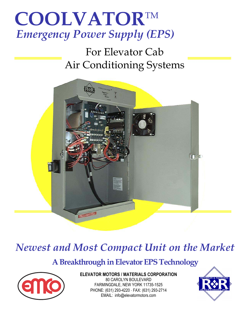# **COOLVATOR**TM *Emergency Power Supply (EPS)*

## For Elevator Cab Air Conditioning Systems



## *Newest and Most Compact Unit on the Market*

### **A Breakthrough in Elevator EPS Technology**



**ELEVATOR MOTORS / MATERIALS CORPORATION**  80 CAROLYN BOULEVARD FARMINGDALE, NEW YORK 11735-1525 PHONE: (631) 293-4220 ⋅ FAX: (631) 293-2714 EMAIL: info@elevatormotors.com